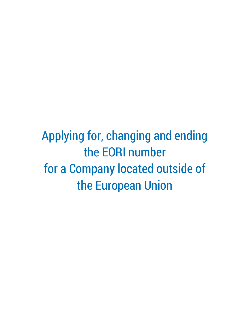Applying for, changing and ending the EORI number for a Company located outside of the European Union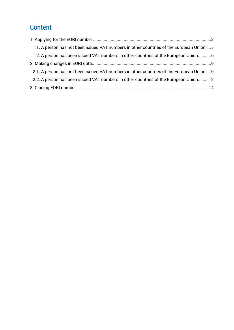# **Content**

| 1.1. A person has not been issued VAT numbers in other countries of the European Union  5 |  |
|-------------------------------------------------------------------------------------------|--|
| 1.2. A person has been issued VAT numbers in other countries of the European Union6       |  |
|                                                                                           |  |
| 2.1. A person has not been issued VAT numbers in other countries of the European Union 10 |  |
| 2.2. A person has been issued VAT numbers in other countries of the European Union12      |  |
|                                                                                           |  |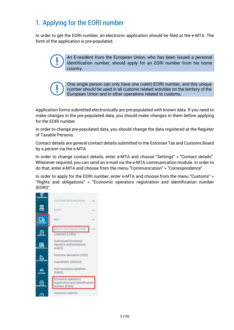# <span id="page-2-0"></span>1. Applying for the EORI number

In order to get the EORI number, an electronic application should be filed at the e-MTA. The form of the application is pre-populated.

> An E-resident from the European Union, who has been issued a personal identification number, should apply for an EORI number from his home country.

One single person can only have one (valid) EORI number, and this unique number should be used in all customs related activities on the territory of the European Union and in other operations related to customs.

Application forms submitted electronically are pre-populated with known data. If you need to make changes in the pre-populated data, you should make changes in them before applying for the EORI number.

In order to change pre-populated data, you should change the data registered at the Register of Taxable Persons.

Contact details are general contact details submitted to the Estonian Tax and Customs Board by a person via the e-MTA.

In order to change contact details, enter e-MTA and choose "Settings" > "Contact details". Whenever required, you can send an e-mail via the e-MTA communication module. In order to do that, enter e-MTA and choose from the menu "Communication" > "Correspondence".

In order to apply for the EORI number, enter e-MTA and choose from the menu "Customs" > "Rights and obligations" > "Economic operators registration and identification number (EORI)".

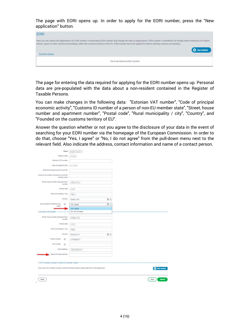The page with EORI opens up. In order to apply for the EORI number, press the "New application" button.

| <b>EORI</b>                                                                                                                                                                                                                                                                                                                                                                    |
|--------------------------------------------------------------------------------------------------------------------------------------------------------------------------------------------------------------------------------------------------------------------------------------------------------------------------------------------------------------------------------|
| Here you can submit the applications for EORI number or terminating EORI number and change the data on applications. EORI number is mandatory for foreign trade enterprises for import,<br>transit, export or other customs proceedings within the customs territory of the EU. EORI number has to be applied for before starting customs proceedings.<br><b>C</b> Uus taotlus |
| - Current status                                                                                                                                                                                                                                                                                                                                                               |
| <b>STATE CONTINUES IN STREET</b><br>Teil ei ole kehtivat EORI numbrit                                                                                                                                                                                                                                                                                                          |

The page for entering the data required for applying for the EORI number opens up. Personal data are pre-populated with the data about a non-resident contained in the Register of Taxable Persons.

You can make changes in the following data: "Estonian VAT number", "Code of principal economic activity", "Customs ID number of a person of non-EU member state", "Street, house number and apartment number", "Postal code", "Rural municipality / city", "Country", and "Founded on the customs territory of EU".

Answer the question whether or not you agree to the disclosure of your data in the event of searching for your EORI number via the homepage of the European Commission. In order to do that, choose "Yes, I agree" or "No, I do not agree" from the pull-down menu next to the relevant field. Also indicate the address, contact information and name of a contact person.

| Name                                                    |                                                                                               |                |
|---------------------------------------------------------|-----------------------------------------------------------------------------------------------|----------------|
| Registry code                                           |                                                                                               |                |
| Estonian VAT number                                     |                                                                                               |                |
| Date of establishment                                   |                                                                                               |                |
|                                                         |                                                                                               |                |
| Code of principal economic activity                     |                                                                                               |                |
| Customs ID number of a person of non-EU<br>member state |                                                                                               |                |
| Street, house number and apartment<br>number            |                                                                                               |                |
| Postal code                                             |                                                                                               |                |
| Rural municipality / city                               | <b>THE UP</b>                                                                                 |                |
| Country                                                 | 00<br>companies and in                                                                        |                |
| Do you agree to disclose your<br>$\circ$<br>data?       | $\circ$ -<br>Yes, I agree.                                                                    |                |
|                                                         | Yes, I agree.                                                                                 |                |
| E Contact information                                   | No, I do not agree.                                                                           |                |
| Street, house number and apartment<br>number            | <b>Gilbert Card</b>                                                                           |                |
| Postal code                                             | ٠                                                                                             |                |
| Rural municipality / city                               | <b>Telephone</b>                                                                              |                |
| Country                                                 | $\otimes$<br>w                                                                                |                |
| Phone number<br>$\odot$                                 |                                                                                               |                |
| Fax number<br>$\odot$                                   |                                                                                               |                |
| Email address                                           |                                                                                               |                |
| Name of contact person                                  |                                                                                               |                |
|                                                         |                                                                                               |                |
|                                                         |                                                                                               |                |
|                                                         | If you have VAT numbers issued in other EU Member States, please add them to the application. | New number     |
|                                                         |                                                                                               |                |
| Back                                                    |                                                                                               | Save<br>Submit |
|                                                         |                                                                                               |                |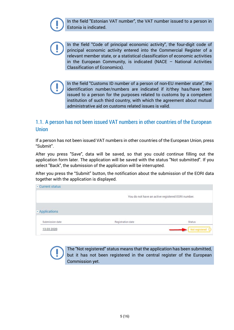In the field "Estonian VAT number", the VAT number issued to a person in Estonia is indicated.



In the field "Code of principal economic activity", the four-digit code of principal economic activity entered into the Commercial Register of a relevant member state, or a statistical classification of economic activities in the European Community, is indicated (NACE – National Activities Classification of Economics).

In the field "Customs ID number of a person of non-EU member state", the identification number/numbers are indicated if it/they has/have been issued to a person for the purposes related to customs by a competent institution of such third country, with which the agreement about mutual administrative aid on customs related issues is valid.

## <span id="page-4-0"></span>1.1. A person has not been issued VAT numbers in other countries of the European Union

If a person has not been issued VAT numbers in other countries of the European Union, press "Submit".

After you press "Save", data will be saved, so that you could continue filling out the application form later. The application will be saved with the status "Not submitted". If you select "Back", the submission of the application will be interrupted.

After you press the "Submit" button, the notification about the submission of the EORI data together with the application is displayed.

|                 | You do not have an active registered EORI number. |                         |
|-----------------|---------------------------------------------------|-------------------------|
| - Applications  |                                                   |                         |
| Submission date | Registration date                                 | Status                  |
| 13.03.2020      |                                                   | Not registered <b>O</b> |

The "Not registered" status means that the application has been submitted, but it has not been registered in the central register of the European Commission yet.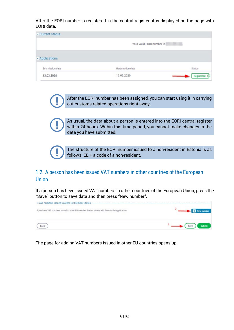After the EORI number is registered in the central register, it is displayed on the page with EORI data.

| - Current status |                           |        |
|------------------|---------------------------|--------|
|                  | Your valid EORI number is |        |
| - Applications   |                           |        |
| Submission date  | Registration date         | Status |
| 13.03.2020       | 13.03.2020                |        |

After the EORI number has been assigned, you can start using it in carrying out customs-related operations right away.

As usual, the data about a person is entered into the EORI central register within 24 hours. Within this time period, you cannot make changes in the data you have submitted.



The structure of the EORI number issued to a non-resident in Estonia is as follows: EE + a code of a non-resident.

### <span id="page-5-0"></span>1.2. A person has been issued VAT numbers in other countries of the European Union

If a person has been issued VAT numbers in other countries of the European Union, press the "Save" button to save data and then press "New number".



The page for adding VAT numbers issued in other EU countries opens up.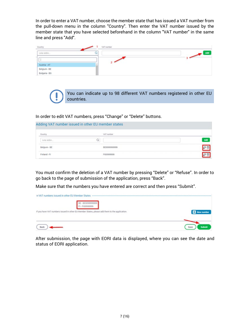In order to enter a VAT number, choose the member state that has issued a VAT number from the pull-down menu in the column "Country". Then enter the VAT number issued by the member state that you have selected beforehand in the column "VAT number" in the same line and press "Add".

| Country                       | VAT number |                                 |
|-------------------------------|------------|---------------------------------|
| Leia sobiv                    | Q          | Add<br>$\overline{\phantom{a}}$ |
|                               |            | ÷                               |
| Austria - AT                  |            |                                 |
| Belgium - BE<br>Bulgaria - BG |            |                                 |
|                               |            |                                 |

You can indicate up to 98 different VAT numbers registered in other EU countries.

In order to edit VAT numbers, press "Change" or "Delete" buttons.

Adding VAT number issued in other EU member states

| Country      |   | VAT number   |            |
|--------------|---|--------------|------------|
| Leia sobiv   | w |              | Add        |
| Belgium - BE |   | BE0099999999 |            |
| Finland - FI |   | FI00999999   | <b>SOL</b> |

You must confirm the deletion of a VAT number by pressing "Delete" or "Refuse". In order to go back to the page of submission of the application, press "Back".

Make sure that the numbers you have entered are correct and then press "Submit".

| E VAT numbers issued in other EU Member States ----<br>---------------------------------      |               |
|-----------------------------------------------------------------------------------------------|---------------|
| If you have VAT numbers issued in other EU Member States, please add them to the application. | New number    |
| Bach                                                                                          | Submit<br>Saw |

After submission, the page with EORI data is displayed, where you can see the date and status of EORI application.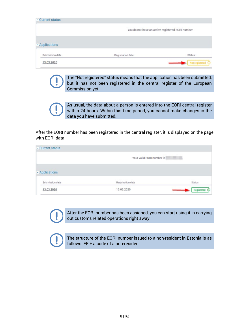| - Current status |                                                   |                         |
|------------------|---------------------------------------------------|-------------------------|
|                  | You do not have an active registered EORI number. |                         |
| - Applications   |                                                   |                         |
| Submission date  | Registration date                                 | Status                  |
| 13.03.2020       |                                                   | Not registered <b>O</b> |

The "Not registered" status means that the application has been submitted, but it has not been registered in the central register of the European Commission yet.

As usual, the data about a person is entered into the EORI central register within 24 hours. Within this time period, you cannot make changes in the data you have submitted.

After the EORI number has been registered in the central register, it is displayed on the page with EORI data.

| - Current status |                           |            |
|------------------|---------------------------|------------|
|                  | Your valid EORI number is |            |
| - Applications   |                           |            |
| Submission date  | Registration date         | Status     |
| 13.03.2020       | 13.03.2020                | Registered |

After the EORI number has been assigned, you can start using it in carrying out customs related operations right away.

The structure of the EORI number issued to a non-resident in Estonia is as follows: EE + a code of a non-resident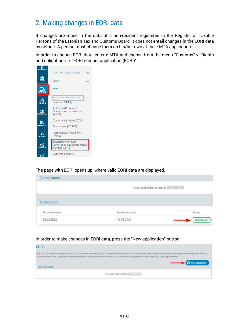## <span id="page-8-0"></span>2. Making changes in EORI data

If changes are made in the data of a non-resident registered in the Register of Taxable Persons of the Estonian Tax and Customs Board, it does not entail changes in the EORI data by default. A person must change them on his/her own at the e-MTA application.

In order to change EORI data, enter e-MTA and choose from the menu "Customs" > "Rights and obligations" > "EORI number application (EORI)".



#### The page with EORI opens up, where valid EORI data are displayed.

| - Current status |                           |               |
|------------------|---------------------------|---------------|
|                  | Your valid EORI number is |               |
| - Applications   |                           |               |
| Submission date  | Registration date         | <b>Status</b> |
|                  |                           |               |

#### In order to make changes in EORI data, press the "New application" button.

| <b>EORI</b>      |                                                                                                                                                                                                                                                                                                                                                        |
|------------------|--------------------------------------------------------------------------------------------------------------------------------------------------------------------------------------------------------------------------------------------------------------------------------------------------------------------------------------------------------|
|                  | Here you can submit the applications for EORI number or terminating EORI number and change the data on applications. EORI number is mandatory for foreign trade enterprises for import,<br>transit, export or other customs proceedings within the customs territory of the EU. EORI number has to be applied for before starting customs proceedings. |
| - Current status | New application                                                                                                                                                                                                                                                                                                                                        |
|                  | Your valid EORI number is                                                                                                                                                                                                                                                                                                                              |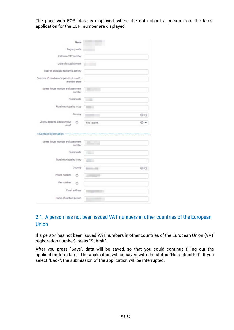The page with EORI data is displayed, where the data about a person from the latest application for the EORI number are displayed.

| Name                                                    |                             |
|---------------------------------------------------------|-----------------------------|
| Registry code                                           |                             |
| Estonian VAT number                                     |                             |
| Date of establishment                                   |                             |
| Code of principal economic activity                     |                             |
| Customs ID number of a person of non-EU<br>member state |                             |
| Street, house number and apartment<br>number            |                             |
| Postal code                                             | <b>South Ave.</b>           |
| Rural municipality / city                               | <b>Contract</b>             |
| Country                                                 | ΘC                          |
| Do you agree to disclose your<br>$^\circledR$<br>data?  | Yes, I agree.<br>$^{\circ}$ |
| E Contact information                                   |                             |
| Street, house number and apartment<br>number            |                             |
| Postal code                                             | <b>Control</b>              |
| Rural municipality / city                               | <b>Time</b>                 |
| Country                                                 | 00<br>a.                    |
| Phone number <sup>O</sup>                               | m.                          |
|                                                         |                             |
| Fax number @                                            |                             |
| Email address                                           |                             |

## <span id="page-9-0"></span>2.1. A person has not been issued VAT numbers in other countries of the European **Union**

If a person has not been issued VAT numbers in other countries of the European Union (VAT registration number), press "Submit".

After you press "Save", data will be saved, so that you could continue filling out the application form later. The application will be saved with the status "Not submitted". If you select "Back", the submission of the application will be interrupted.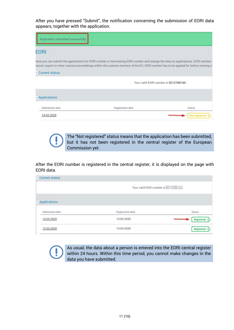After you have pressed "Submit", the notification concerning the submission of EORI data appears, together with the application.

| Application submitted successfully. |                                                                                                                                                                                                                                                                              |                  |
|-------------------------------------|------------------------------------------------------------------------------------------------------------------------------------------------------------------------------------------------------------------------------------------------------------------------------|------------------|
| <b>EORI</b>                         |                                                                                                                                                                                                                                                                              |                  |
|                                     | Here you can submit the applications for EORI number or terminating EORI number and change the data on applications. EORI number<br>transit, export or other customs proceedings within the customs territory of the EU. EORI number has to be applied for before starting c |                  |
| - Current status                    |                                                                                                                                                                                                                                                                              |                  |
|                                     | Your valid EORI number is EE12788140.                                                                                                                                                                                                                                        |                  |
| - Applications                      |                                                                                                                                                                                                                                                                              |                  |
| Submission date                     | Registration date                                                                                                                                                                                                                                                            | <b>Status</b>    |
| 14.03.2020                          |                                                                                                                                                                                                                                                                              | Not registered ( |

The "Not registered" status means that the application has been submitted, but it has not been registered in the central register of the European Commission yet.

After the EORI number is registered in the central register, it is displayed on the page with EORI data.

| - Current status |                           |                   |  |
|------------------|---------------------------|-------------------|--|
|                  | Your valid EORI number is |                   |  |
| - Applications   |                           |                   |  |
| Submission date  | Registration date         | <b>Status</b>     |  |
| 14.03.2020       | 14.03.2020                | Registered        |  |
| 13.03.2020       | 13.03.2020                | <b>Registered</b> |  |

As usual, the data about a person is entered into the EORI central register within 24 hours. Within this time period, you cannot make changes in the data you have submitted.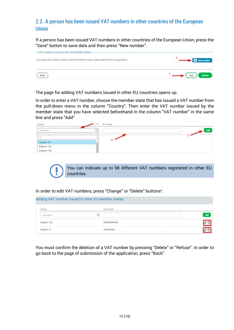## <span id="page-11-0"></span>2.2. A person has been issued VAT numbers in other countries of the European Union

If a person has been issued VAT numbers in other countries of the European Union, press the "Save" button to save data and then press "New number".



The page for adding VAT numbers issued in other EU countries opens up.

In order to enter a VAT number, choose the member state that has issued a VAT number from the pull-down menu in the column "Country". Then enter the VAT number issued by the member state that you have selected beforehand in the column "VAT number" in the same line and press "Add".

| Country                       | VAT number |                      |
|-------------------------------|------------|----------------------|
| Leia sobiv                    | ш          | Add<br>$\mathcal{L}$ |
| <b>Contract</b>               |            |                      |
| Austria - AT                  |            |                      |
| Belgium - BE<br>Bulgaria - BG |            |                      |
|                               |            |                      |

You can indicate up to 98 different VAT numbers registered in other EU countries.

In order to edit VAT numbers, press "Change" or "Delete" buttons".

| Adding VAT number issued in other EU member states |   |              |               |
|----------------------------------------------------|---|--------------|---------------|
| Country                                            |   | VAT number   |               |
| Leia sobiv                                         | Q |              | Add           |
| Belgium - BE                                       |   | BE0099999999 | $\sim$ $\sim$ |
| Finland - Fl                                       |   | FI00999999   |               |

You must confirm the deletion of a VAT number by pressing "Delete" or "Refuse". In order to go back to the page of submission of the application, press "Back".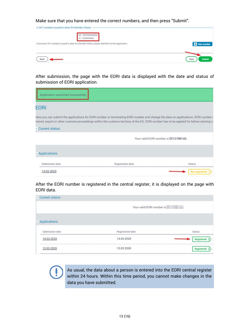Make sure that you have entered the correct numbers, and then press "Submit".



After submission, the page with the EORI data is displayed with the date and status of submission of EORI application.

| Application submitted successfully. |                                                                                                                                                                                                                                                                                 |                |
|-------------------------------------|---------------------------------------------------------------------------------------------------------------------------------------------------------------------------------------------------------------------------------------------------------------------------------|----------------|
| EORI                                |                                                                                                                                                                                                                                                                                 |                |
|                                     | Here you can submit the applications for EORI number or terminating EORI number and change the data on applications. EORI number i<br>transit, export or other customs proceedings within the customs territory of the EU. EORI number has to be applied for before starting co |                |
| - Current status                    |                                                                                                                                                                                                                                                                                 |                |
|                                     | Your valid EORI number is EE12788140.                                                                                                                                                                                                                                           |                |
| - Applications                      |                                                                                                                                                                                                                                                                                 |                |
| Submission date                     | Registration date                                                                                                                                                                                                                                                               | Status         |
| 14.03.2020                          |                                                                                                                                                                                                                                                                                 | Not registered |

After the EORI number is registered in the central register, it is displayed on the page with EORI data.

| - Current status |                           |               |
|------------------|---------------------------|---------------|
|                  | Your valid EORI number is |               |
| - Applications   |                           |               |
| Submission date  | Registration date         | <b>Status</b> |
| 14.03.2020       | 14.03.2020                | Registered    |
| 13.03.2020       | 13.03.2020                | Registered    |

As usual, the data about a person is entered into the EORI central register within 24 hours. Within this time period, you cannot make changes in the data you have submitted.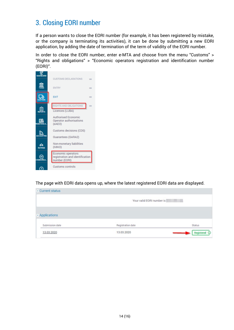## <span id="page-13-0"></span>3. Closing EORI number

If a person wants to close the EORI number (for example, it has been registered by mistake, or the company is terminating its activities), it can be done by submitting a new EORI application, by adding the date of termination of the term of validity of the EORI number.

In order to close the EORI number, enter e-MTA and choose from the menu "Customs" > "Rights and obligations" > "Economic operators registration and identification number (EORI)".



The page with EORI data opens up, where the latest registered EORI data are displayed.

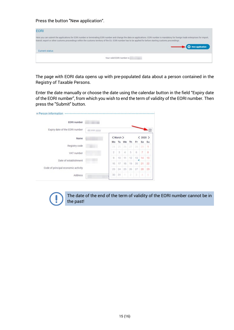Press the button "New application".

| <b>EORI</b>      |                                                                                                                                                                                                                                                                                                                                                                           |
|------------------|---------------------------------------------------------------------------------------------------------------------------------------------------------------------------------------------------------------------------------------------------------------------------------------------------------------------------------------------------------------------------|
|                  | Here you can submit the applications for EORI number or terminating EORI number and change the data on applications. EORI number is mandatory for foreign trade enterprises for import.<br>transit, export or other customs proceedings within the customs territory of the EU. EORI number has to be applied for before starting customs proceedings.<br>New application |
| - Current status |                                                                                                                                                                                                                                                                                                                                                                           |
|                  | Your valid EORI number is                                                                                                                                                                                                                                                                                                                                                 |

The page with EORI data opens up with pre-populated data about a person contained in the Registry of Taxable Persons.

Enter the date manually or choose the date using the calendar button in the field "Expiry date of the EORI number", from which you wish to end the term of validity of the EORI number. Then press the "Submit" button.

| EORI number                         |            |                |                 |               |    |    |             |    |
|-------------------------------------|------------|----------------|-----------------|---------------|----|----|-------------|----|
| Expiry date of the EORI number      | dd.mm.yyyy |                |                 |               |    |    |             |    |
| Name                                |            |                | <march></march> |               |    |    | 2020 ><br>◟ |    |
|                                     |            | Mo             | Tu              | We            | Th | Fr | Sa          | Su |
| Registry code                       |            | 21             | 25              | 26            | 27 | 28 | 29          | 1  |
| VAT number                          |            | $\overline{2}$ | 3               | $\mathcal{A}$ | 5  | 6  | 7           | 8  |
| Date of establishment               |            | 9              | 10              | 11            | 12 | 13 | 14<br>ı     | 15 |
|                                     |            | 16             | 17              | 18            | 19 | 20 | 21          | 22 |
| Code of principal economic activity |            | 23             | 24              | 25            | 26 | 27 | 28          | 29 |
| Address                             |            | 30             | 31              | ٦             | ž  | 3  | d.          | ъ  |

The date of the end of the term of validity of the EORI number cannot be in the past!